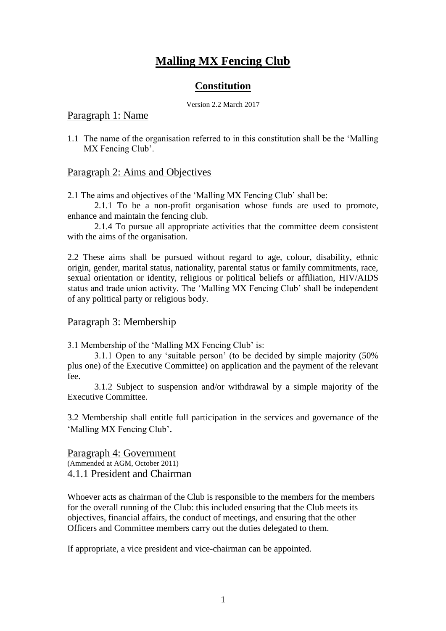# **Malling MX Fencing Club**

## **Constitution**

Version 2.2 March 2017

#### Paragraph 1: Name

1.1 The name of the organisation referred to in this constitution shall be the 'Malling MX Fencing Club'.

#### Paragraph 2: Aims and Objectives

2.1 The aims and objectives of the 'Malling MX Fencing Club' shall be:

2.1.1 To be a non-profit organisation whose funds are used to promote, enhance and maintain the fencing club.

2.1.4 To pursue all appropriate activities that the committee deem consistent with the aims of the organisation.

2.2 These aims shall be pursued without regard to age, colour, disability, ethnic origin, gender, marital status, nationality, parental status or family commitments, race, sexual orientation or identity, religious or political beliefs or affiliation, HIV/AIDS status and trade union activity. The 'Malling MX Fencing Club' shall be independent of any political party or religious body.

#### Paragraph 3: Membership

3.1 Membership of the 'Malling MX Fencing Club' is:

3.1.1 Open to any 'suitable person' (to be decided by simple majority (50% plus one) of the Executive Committee) on application and the payment of the relevant fee.

3.1.2 Subject to suspension and/or withdrawal by a simple majority of the Executive Committee.

3.2 Membership shall entitle full participation in the services and governance of the 'Malling MX Fencing Club'.

Paragraph 4: Government (Ammended at AGM, October 2011) 4.1.1 President and Chairman

Whoever acts as chairman of the Club is responsible to the members for the members for the overall running of the Club: this included ensuring that the Club meets its objectives, financial affairs, the conduct of meetings, and ensuring that the other Officers and Committee members carry out the duties delegated to them.

If appropriate, a vice president and vice-chairman can be appointed.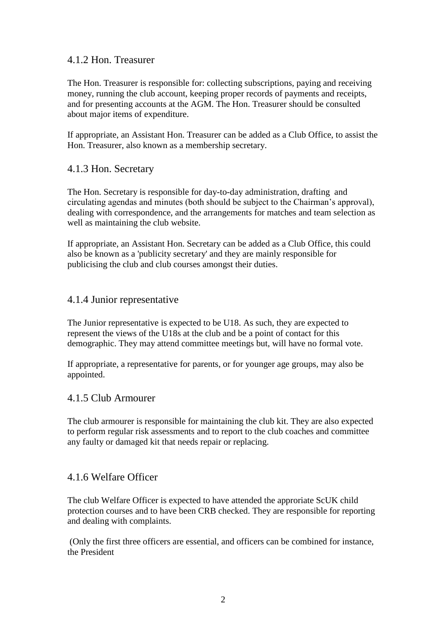#### 4.1.2 Hon. Treasurer

The Hon. Treasurer is responsible for: collecting subscriptions, paying and receiving money, running the club account, keeping proper records of payments and receipts, and for presenting accounts at the AGM. The Hon. Treasurer should be consulted about major items of expenditure.

If appropriate, an Assistant Hon. Treasurer can be added as a Club Office, to assist the Hon. Treasurer, also known as a membership secretary.

## 4.1.3 Hon. Secretary

The Hon. Secretary is responsible for day-to-day administration, drafting and circulating agendas and minutes (both should be subject to the Chairman's approval), dealing with correspondence, and the arrangements for matches and team selection as well as maintaining the club website.

If appropriate, an Assistant Hon. Secretary can be added as a Club Office, this could also be known as a 'publicity secretary' and they are mainly responsible for publicising the club and club courses amongst their duties.

## 4.1.4 Junior representative

The Junior representative is expected to be U18. As such, they are expected to represent the views of the U18s at the club and be a point of contact for this demographic. They may attend committee meetings but, will have no formal vote.

If appropriate, a representative for parents, or for younger age groups, may also be appointed.

#### 4.1.5 Club Armourer

The club armourer is responsible for maintaining the club kit. They are also expected to perform regular risk assessments and to report to the club coaches and committee any faulty or damaged kit that needs repair or replacing.

## 4.1.6 Welfare Officer

The club Welfare Officer is expected to have attended the approriate ScUK child protection courses and to have been CRB checked. They are responsible for reporting and dealing with complaints.

(Only the first three officers are essential, and officers can be combined for instance, the President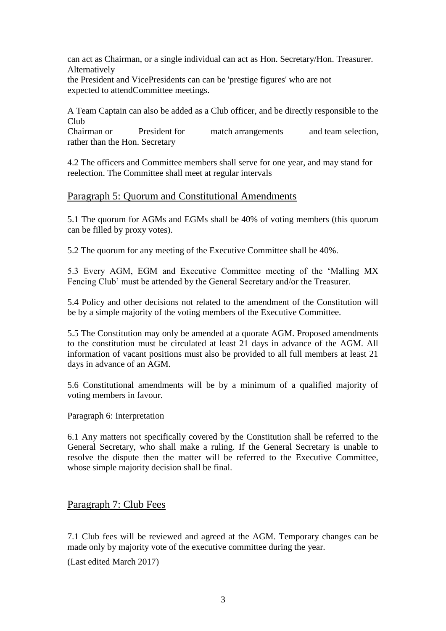can act as Chairman, or a single individual can act as Hon. Secretary/Hon. Treasurer. Alternatively

the President and VicePresidents can can be 'prestige figures' who are not expected to attendCommittee meetings.

A Team Captain can also be added as a Club officer, and be directly responsible to the Club

Chairman or President for match arrangements and team selection, rather than the Hon. Secretary

4.2 The officers and Committee members shall serve for one year, and may stand for reelection. The Committee shall meet at regular intervals

## Paragraph 5: Quorum and Constitutional Amendments

5.1 The quorum for AGMs and EGMs shall be 40% of voting members (this quorum can be filled by proxy votes).

5.2 The quorum for any meeting of the Executive Committee shall be 40%.

5.3 Every AGM, EGM and Executive Committee meeting of the 'Malling MX Fencing Club' must be attended by the General Secretary and/or the Treasurer.

5.4 Policy and other decisions not related to the amendment of the Constitution will be by a simple majority of the voting members of the Executive Committee.

5.5 The Constitution may only be amended at a quorate AGM. Proposed amendments to the constitution must be circulated at least 21 days in advance of the AGM. All information of vacant positions must also be provided to all full members at least 21 days in advance of an AGM.

5.6 Constitutional amendments will be by a minimum of a qualified majority of voting members in favour.

#### Paragraph 6: Interpretation

6.1 Any matters not specifically covered by the Constitution shall be referred to the General Secretary, who shall make a ruling. If the General Secretary is unable to resolve the dispute then the matter will be referred to the Executive Committee, whose simple majority decision shall be final.

#### Paragraph 7: Club Fees

7.1 Club fees will be reviewed and agreed at the AGM. Temporary changes can be made only by majority vote of the executive committee during the year.

(Last edited March 2017)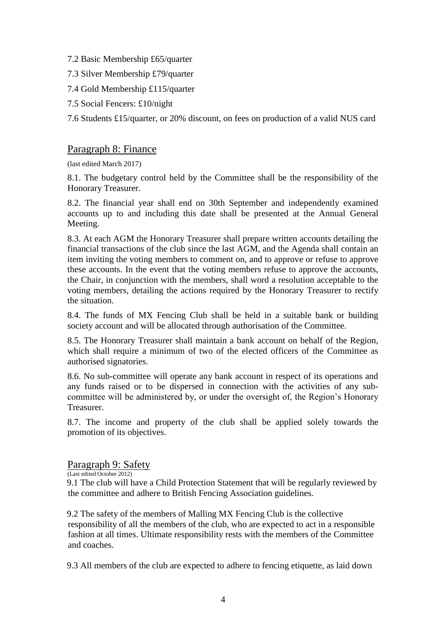- 7.2 Basic Membership £65/quarter
- 7.3 Silver Membership £79/quarter
- 7.4 Gold Membership £115/quarter
- 7.5 Social Fencers: £10/night

7.6 Students £15/quarter, or 20% discount, on fees on production of a valid NUS card

#### Paragraph 8: Finance

(last edited March 2017)

8.1. The budgetary control held by the Committee shall be the responsibility of the Honorary Treasurer.

8.2. The financial year shall end on 30th September and independently examined accounts up to and including this date shall be presented at the Annual General Meeting.

8.3. At each AGM the Honorary Treasurer shall prepare written accounts detailing the financial transactions of the club since the last AGM, and the Agenda shall contain an item inviting the voting members to comment on, and to approve or refuse to approve these accounts. In the event that the voting members refuse to approve the accounts, the Chair, in conjunction with the members, shall word a resolution acceptable to the voting members, detailing the actions required by the Honorary Treasurer to rectify the situation.

8.4. The funds of MX Fencing Club shall be held in a suitable bank or building society account and will be allocated through authorisation of the Committee.

8.5. The Honorary Treasurer shall maintain a bank account on behalf of the Region, which shall require a minimum of two of the elected officers of the Committee as authorised signatories.

8.6. No sub-committee will operate any bank account in respect of its operations and any funds raised or to be dispersed in connection with the activities of any subcommittee will be administered by, or under the oversight of, the Region's Honorary Treasurer.

8.7. The income and property of the club shall be applied solely towards the promotion of its objectives.

#### Paragraph 9: Safety

(Last edited October 2012)

9.1 The club will have a Child Protection Statement that will be regularly reviewed by the committee and adhere to British Fencing Association guidelines.

9.2 The safety of the members of Malling MX Fencing Club is the collective responsibility of all the members of the club, who are expected to act in a responsible fashion at all times. Ultimate responsibility rests with the members of the Committee and coaches.

9.3 All members of the club are expected to adhere to fencing etiquette, as laid down